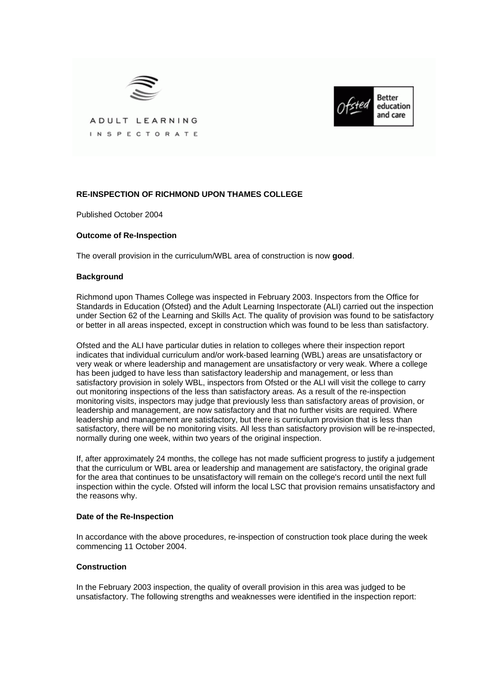



ADULT LEARNING INSPECTORATE

# **RE-INSPECTION OF RICHMOND UPON THAMES COLLEGE**

Published October 2004

## **Outcome of Re-Inspection**

The overall provision in the curriculum/WBL area of construction is now **good**.

#### **Background**

Richmond upon Thames College was inspected in February 2003. Inspectors from the Office for Standards in Education (Ofsted) and the Adult Learning Inspectorate (ALI) carried out the inspection under Section 62 of the Learning and Skills Act. The quality of provision was found to be satisfactory or better in all areas inspected, except in construction which was found to be less than satisfactory.

Ofsted and the ALI have particular duties in relation to colleges where their inspection report indicates that individual curriculum and/or work-based learning (WBL) areas are unsatisfactory or very weak or where leadership and management are unsatisfactory or very weak. Where a college has been judged to have less than satisfactory leadership and management, or less than satisfactory provision in solely WBL, inspectors from Ofsted or the ALI will visit the college to carry out monitoring inspections of the less than satisfactory areas. As a result of the re-inspection monitoring visits, inspectors may judge that previously less than satisfactory areas of provision, or leadership and management, are now satisfactory and that no further visits are required. Where leadership and management are satisfactory, but there is curriculum provision that is less than satisfactory, there will be no monitoring visits. All less than satisfactory provision will be re-inspected, normally during one week, within two years of the original inspection.

If, after approximately 24 months, the college has not made sufficient progress to justify a judgement that the curriculum or WBL area or leadership and management are satisfactory, the original grade for the area that continues to be unsatisfactory will remain on the college's record until the next full inspection within the cycle. Ofsted will inform the local LSC that provision remains unsatisfactory and the reasons why.

#### **Date of the Re-Inspection**

In accordance with the above procedures, re-inspection of construction took place during the week commencing 11 October 2004.

#### **Construction**

In the February 2003 inspection, the quality of overall provision in this area was judged to be unsatisfactory. The following strengths and weaknesses were identified in the inspection report: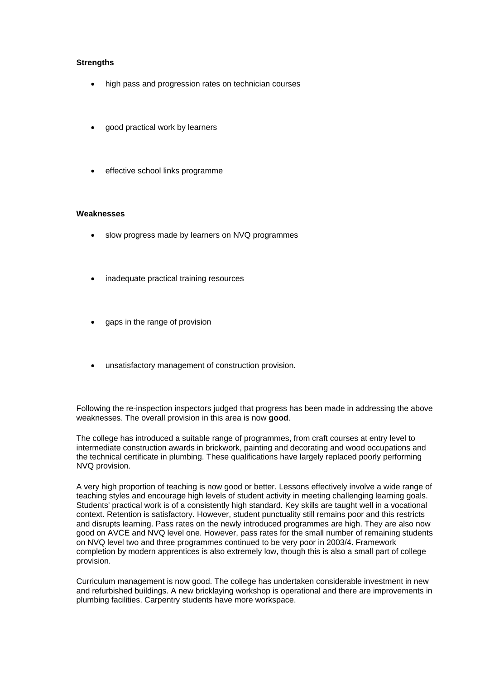### **Strengths**

- high pass and progression rates on technician courses
- good practical work by learners
- effective school links programme

#### **Weaknesses**

- slow progress made by learners on NVQ programmes
- inadequate practical training resources
- gaps in the range of provision
- unsatisfactory management of construction provision.

Following the re-inspection inspectors judged that progress has been made in addressing the above weaknesses. The overall provision in this area is now **good**.

The college has introduced a suitable range of programmes, from craft courses at entry level to intermediate construction awards in brickwork, painting and decorating and wood occupations and the technical certificate in plumbing. These qualifications have largely replaced poorly performing NVQ provision.

A very high proportion of teaching is now good or better. Lessons effectively involve a wide range of teaching styles and encourage high levels of student activity in meeting challenging learning goals. Students' practical work is of a consistently high standard. Key skills are taught well in a vocational context. Retention is satisfactory. However, student punctuality still remains poor and this restricts and disrupts learning. Pass rates on the newly introduced programmes are high. They are also now good on AVCE and NVQ level one. However, pass rates for the small number of remaining students on NVQ level two and three programmes continued to be very poor in 2003/4. Framework completion by modern apprentices is also extremely low, though this is also a small part of college provision.

Curriculum management is now good. The college has undertaken considerable investment in new and refurbished buildings. A new bricklaying workshop is operational and there are improvements in plumbing facilities. Carpentry students have more workspace.